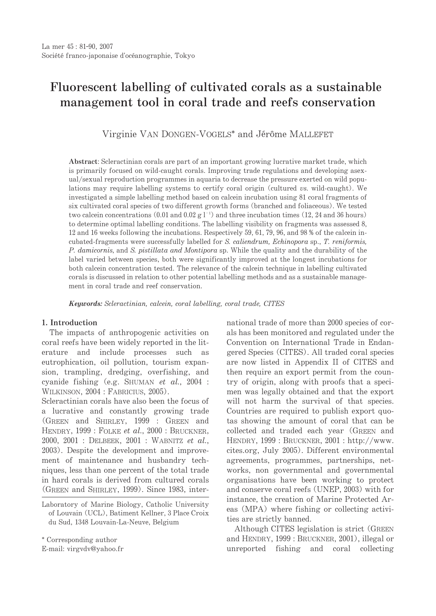# Fluorescent labelling of cultivated corals as a sustainable management tool in coral trade and reefs conservation

Virginie VAN DONGEN-VOGELS\* and Jérôme MALLEFET

Abstract: Scleractinian corals are part of an important growing lucrative market trade, which is primarily focused on wild-caught corals. Improving trade regulations and developing asexual/sexual reproduction programmes in aquaria to decrease the pressure exerted on wild populations may require labelling systems to certify coral origin (cultured vs. wild-caught). We investigated a simple labelling method based on calcein incubation using 81 coral fragments of six cultivated coral species of two different growth forms (branched and foliaceous). We tested two calcein concentrations (0.01 and 0.02 g  $1^{-1}$ ) and three incubation times (12, 24 and 36 hours) to determine optimal labelling conditions. The labelling visibility on fragments was assessed 8. 12 and 16 weeks following the incubations. Respectively 59, 61, 79, 96, and 98 % of the calcein incubated-fragments were successfully labelled for S. caliendrum, Echinopora sp., T. reniformis, P. damicornis, and S. pistillata and Montipora sp. While the quality and the durability of the label varied between species, both were significantly improved at the longest incubations for both calcein concentration tested. The relevance of the calcein technique in labelling cultivated corals is discussed in relation to other potential labelling methods and as a sustainable management in coral trade and reef conservation.

Keywords: Scleractinian, calcein, coral labelling, coral trade, CITES

## 1. Introduction

The impacts of anthropogenic activities on coral reefs have been widely reported in the literature and include processes such  $-2.5$ eutrophication, oil pollution, tourism expansion, trampling, dredging, overfishing, and cyanide fishing (e.g. SHUMAN et al., 2004 : WILKINSON. 2004: FABRICIUS. 2005).

Scleractinian corals have also been the focus of a lucrative and constantly growing trade (GREEN and SHIRLEY, 1999 : GREEN and HENDRY, 1999 : FOLKE et al., 2000 : BRUCKNER, 2000, 2001 : DELBEEK, 2001 : WABNITZ et al., 2003). Despite the development and improvement of maintenance and husbandry techniques, less than one percent of the total trade in hard corals is derived from cultured corals (GREEN and SHIRLEY, 1999). Since 1983, inter-

\* Corresponding author

E-mail: virgvdv@yahoo.fr

national trade of more than 2000 species of corals has been monitored and regulated under the Convention on International Trade in Endangered Species (CITES). All traded coral species are now listed in Appendix II of CITES and then require an export permit from the country of origin, along with proofs that a specimen was legally obtained and that the export will not harm the survival of that species. Countries are required to publish export quotas showing the amount of coral that can be collected and traded each year (GREEN and HENDRY, 1999: BRUCKNER, 2001: http://www. cites.org, July 2005). Different environmental agreements, programmes, partnerships, networks, non governmental and governmental organisations have been working to protect and conserve coral reefs (UNEP, 2003) with for instance, the creation of Marine Protected Areas (MPA) where fishing or collecting activities are strictly banned.

Although CITES legislation is strict (GREEN) and HENDRY, 1999: BRUCKNER, 2001), illegal or unreported fishing and coral collecting

Laboratory of Marine Biology, Catholic University of Louvain (UCL), Batiment Kellner, 3 Place Croix du Sud, 1348 Louvain-La-Neuve, Belgium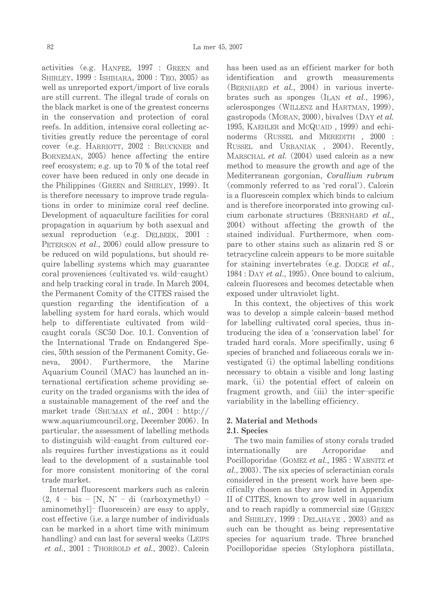activities (e.g. HANFEE, 1997 : GREEN and SHIRLEY, 1999 : ISHIHARA, 2000 : TEO, 2005) as well as unreported export/import of live corals are still current. The illegal trade of corals on the black market is one of the greatest concerns in the conservation and protection of coral reefs. In addition, intensive coral collecting activities greatly reduce the percentage of coral cover (e.g. HARRIOTT, 2002 : BRUCKNER and BORNEMAN, 2005) hence affecting the entire reef ecosystem; e.g. up to 70 % of the total reef cover have been reduced in only one decade in the Philippines (GREEN and SHIRLEY, 1999). It is therefore necessary to improve trade regulations in order to minimize coral reef decline. Development of aquaculture facilities for coral propagation in aquarium by both asexual and sexual reproduction (e.g. DELBEEK, 2001 : PETERSON *et al.*, 2006) could allow pressure to be reduced on wild populations, but should require labelling systems which may guarantee coral proveniences (cultivated vs. wild-caught) and help tracking coral in trade. In March 2004, the Permanent Comity of the CITES raised the question regarding the identification of a labelling system for hard corals, which would help to differentiate cultivated from wildcaught corals (SC50 Doc. 10.1. Convention of the International Trade on Endangered Species, 50th session of the Permanent Comity, Ge-Furthermore, Marine neva.  $2004$ ). the Aquarium Council (MAC) has launched an international certification scheme providing security on the traded organisms with the idea of a sustainable management of the reef and the market trade (SHUMAN et al., 2004 : http:// www.aquariumcouncil.org, December 2006). In particular, the assessment of labelling methods to distinguish wild-caught from cultured corals requires further investigations as it could lead to the development of a sustainable tool for more consistent monitoring of the coral trade market.

Internal fluorescent markers such as calcein  $(2, 4 - \text{bis} - [N, N' - \text{di} (\text{carboxymethyl})$ aminomethyl] fluorescein) are easy to apply, cost effective (i.e. a large number of individuals can be marked in a short time with minimum handling) and can last for several weeks (LEIPS *et al.*,  $2001$ : THORROLD *et al.*,  $2002$ ). Calcein

has been used as an efficient marker for both identification and growth measurements (BERNHARD et al., 2004) in various invertebrates such as sponges (ILAN *et al.*, 1996), sclerosponges (WILLENZ and HARTMAN, 1999), gastropods (MORAN, 2000), bivalves (DAY et al. 1995, KAEHLER and McQUAID, 1999) and echinoderms (RUSSEL and MEREDITH, 2000: RUSSEL and URBANIAK, 2004). Recently, MARSCHAL et al. (2004) used calcein as a new method to measure the growth and age of the Mediterranean gorgonian, Corallium rubrum (commonly referred to as 'red coral'). Calcein is a fluorescein complex which binds to calcium and is therefore incorporated into growing calcium carbonate structures (BERNHARD et al., 2004) without affecting the growth of the stained individual. Furthermore, when compare to other stains such as alizarin red S or tetracycline calcein appears to be more suitable for staining invertebrates (e.g. DODGE et al.,  $1984:$  DAY et al., 1995). Once bound to calcium, calcein fluoresces and becomes detectable when exposed under ultraviolet light.

In this context, the objectives of this work was to develop a simple calcein-based method for labelling cultivated coral species, thus introducing the idea of a 'conservation label' for traded hard corals. More specifically, using 6 species of branched and foliaceous corals we investigated (i) the optimal labelling conditions necessary to obtain a visible and long lasting mark, (ii) the potential effect of calcein on fragment growth, and (iii) the inter-specific variability in the labelling efficiency.

# 2. Material and Methods

### 2.1. Species

The two main families of stony corals traded internationally are Acroporidae and Pocilloporidae (GOMEZ et al., 1985 : WABNITZ et  $al., 2003$ . The six species of scleractinian corals considered in the present work have been specifically chosen as they are listed in Appendix II of CITES, known to grow well in aquarium and to reach rapidly a commercial size (GREEN and SHIRLEY, 1999 : DELAHAYE, 2003) and as such can be thought as being representative species for aquarium trade. Three branched Pocilloporidae species (Stylophora pistillata,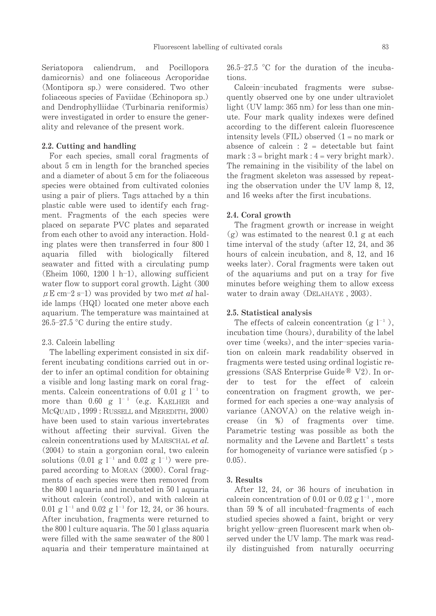Seriatopora caliendrum. and Pocillopora damicornis) and one foliaceous Acroporidae (Montipora sp.) were considered. Two other foliaceous species of Favildae (Echinopora sp.) and Dendrophylliidae (Turbinaria reniformis) were investigated in order to ensure the generality and relevance of the present work.

# 2.2. Cutting and handling

For each species, small coral fragments of about 5 cm in length for the branched species and a diameter of about 5 cm for the foliaceous species were obtained from cultivated colonies using a pair of pliers. Tags attached by a thin plastic cable were used to identify each fragment. Fragments of the each species were placed on separate PVC plates and separated from each other to avoid any interaction. Holding plates were then transferred in four 800 l aquaria filled with biologically filtered seawater and fitted with a circulating pump (Eheim 1060, 1200 l h-1), allowing sufficient water flow to support coral growth. Light (300)  $\mu$  E cm-2 s-1) was provided by two met al halide lamps (HQI) located one meter above each aquarium. The temperature was maintained at  $26.5 - 27.5$  °C during the entire study.

### 2.3. Calcein labelling

The labelling experiment consisted in six different incubating conditions carried out in order to infer an optimal condition for obtaining a visible and long lasting mark on coral fragments. Calcein concentrations of 0.01 g  $l^{-1}$  to more than  $0.60 \text{ g}$   $l^{-1}$  (e.g. KAELHER and MCQUAID, 1999: RUSSELL and MEREDITH, 2000) have been used to stain various invertebrates without affecting their survival. Given the calcein concentrations used by MARSCHAL et al.  $(2004)$  to stain a gorgonian coral, two calcein solutions  $(0.01 \text{ g } l^{-1} \text{ and } 0.02 \text{ g } l^{-1})$  were prepared according to MORAN (2000). Coral fragments of each species were then removed from the 800 l aquaria and incubated in 50 l aquaria without calcein (control), and with calcein at 0.01 g  $l^{-1}$  and 0.02 g  $l^{-1}$  for 12, 24, or 36 hours. After incubation, fragments were returned to the 800 l culture aquaria. The 50 l glass aquaria were filled with the same seawater of the 800 l aquaria and their temperature maintained at

 $26.5-27.5$  °C for the duration of the incubations.

Calcein-incubated fragments were subsequently observed one by one under ultraviolet light (UV lamp: 365 nm) for less than one minute. Four mark quality indexes were defined according to the different calcein fluorescence intensity levels (FIL) observed  $(1 = no mark or$ absence of calcein :  $2 =$  detectable but faint  $mark: 3 = bright mark: 4 = very bright mark$ . The remaining in the visibility of the label on the fragment skeleton was assessed by repeating the observation under the UV lamp 8, 12, and 16 weeks after the first incubations.

### 2.4. Coral growth

The fragment growth or increase in weight  $(g)$  was estimated to the nearest 0.1 g at each time interval of the study (after 12, 24, and 36 hours of calcein incubation, and 8, 12, and 16 weeks later). Coral fragments were taken out of the aquariums and put on a tray for five minutes before weighing them to allow excess water to drain away (DELAHAYE, 2003).

# 2.5. Statistical analysis

The effects of calcein concentration (g  $l^{-1}$ ), incubation time (hours), durability of the label over time (weeks), and the inter-species variation on calcein mark readability observed in fragments were tested using ordinal logistic regressions (SAS Enterprise Guide<sup>®</sup>  $V2$ ). In order to test for the effect of calcein concentration on fragment growth, we performed for each species a one-way analysis of variance (ANOVA) on the relative weigh increase  $(in \%)$  of fragments over time. Parametric testing was possible as both the normality and the Levene and Bartlett's tests for homogeneity of variance were satisfied  $(p >$  $0.05$ ).

### 3. Results

After 12, 24, or 36 hours of incubation in calcein concentration of 0.01 or 0.02  $g l^{-1}$ , more than 59 % of all incubated-fragments of each studied species showed a faint, bright or very bright yellow-green fluorescent mark when observed under the UV lamp. The mark was readily distinguished from naturally occurring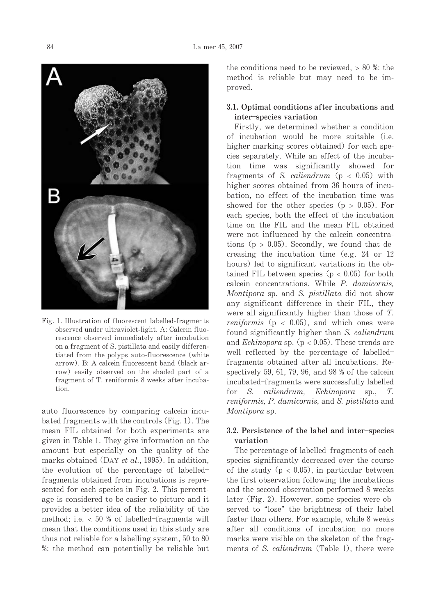

Fig. 1. Illustration of fluorescent labelled-fragments observed under ultraviolet-light. A: Calcein fluorescence observed immediately after incubation on a fragment of S. pistillata and easily differentiated from the polyps auto-fluorescence (white arrow). B: A calcein fluorescent band (black arrow) easily observed on the shaded part of a fragment of T. reniformis 8 weeks after incubation

auto fluorescence by comparing calcein-incubated fragments with the controls (Fig. 1). The mean FIL obtained for both experiments are given in Table 1. They give information on the amount but especially on the quality of the marks obtained (DAY et al., 1995). In addition, the evolution of the percentage of labelledfragments obtained from incubations is represented for each species in Fig. 2. This percentage is considered to be easier to picture and it provides a better idea of the reliability of the method; i.e.  $< 50$  % of labelled-fragments will mean that the conditions used in this study are thus not reliable for a labelling system, 50 to 80 %: the method can potentially be reliable but the conditions need to be reviewed.  $> 80$  %; the method is reliable but may need to be improved.

# 3.1. Optimal conditions after incubations and inter-species variation

Firstly, we determined whether a condition of incubation would be more suitable (i.e. higher marking scores obtained) for each species separately. While an effect of the incubation time was significantly showed for fragments of S. caliendrum ( $p < 0.05$ ) with higher scores obtained from 36 hours of incubation, no effect of the incubation time was showed for the other species  $(p > 0.05)$ . For each species, both the effect of the incubation time on the FIL and the mean FIL obtained were not influenced by the calcein concentrations ( $p > 0.05$ ). Secondly, we found that decreasing the incubation time (e.g. 24 or  $12$ ) hours) led to significant variations in the obtained FIL between species ( $p < 0.05$ ) for both calcein concentrations. While P. damicornis, Montipora sp. and S. pistillata did not show any significant difference in their FIL, they were all significantly higher than those of T. *reniformis* ( $p < 0.05$ ), and which ones were found significantly higher than S. caliendrum and *Echinopora* sp. ( $p < 0.05$ ). These trends are well reflected by the percentage of labelledfragments obtained after all incubations. Respectively 59, 61, 79, 96, and 98  $%$  of the calcein incubated-fragments were successfully labelled for S. caliendrum, Echinopora sp., T. reniformis, P. damicornis, and S. pistillata and Montipora sp.

# 3.2. Persistence of the label and inter-species variation

The percentage of labelled-fragments of each species significantly decreased over the course of the study ( $p < 0.05$ ), in particular between the first observation following the incubations and the second observation performed 8 weeks later (Fig. 2). However, some species were observed to "lose" the brightness of their label faster than others. For example, while 8 weeks after all conditions of incubation no more marks were visible on the skeleton of the fragments of S. caliendrum (Table 1), there were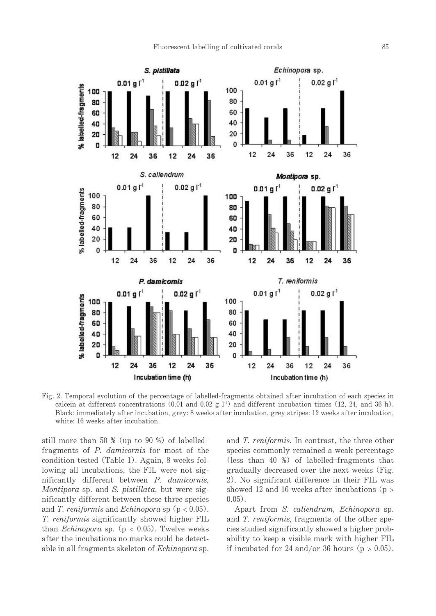

Fig. 2. Temporal evolution of the percentage of labelled-fragments obtained after incubation of each species in calcein at different concentrations (0.01 and 0.02 g  $1^1$ ) and different incubation times (12, 24, and 36 h). Black: immediately after incubation, grey: 8 weeks after incubation, grey stripes: 12 weeks after incubation, white: 16 weeks after incubation.

still more than 50  $\%$  (up to 90  $\%$ ) of labelledfragments of P. damicornis for most of the condition tested (Table 1). Again, 8 weeks following all incubations, the FIL were not significantly different between P. damicornis, Montipora sp. and S. pistillata, but were significantly different between these three species and T. reniform is and Echinopora sp ( $p < 0.05$ ). *T. reniformis* significantly showed higher FIL than *Echinopora* sp. ( $p < 0.05$ ). Twelve weeks after the incubations no marks could be detectable in all fragments skeleton of *Echinopora* sp. and T. reniformis. In contrast, the three other species commonly remained a weak percentage (less than 40 %) of labelled-fragments that gradually decreased over the next weeks (Fig. 2). No significant difference in their FIL was showed 12 and 16 weeks after incubations ( $p >$  $0.05$ ).

Apart from S. caliendrum, Echinopora sp. and T. reniformis, fragments of the other species studied significantly showed a higher probability to keep a visible mark with higher FIL if incubated for 24 and/or 36 hours ( $p > 0.05$ ).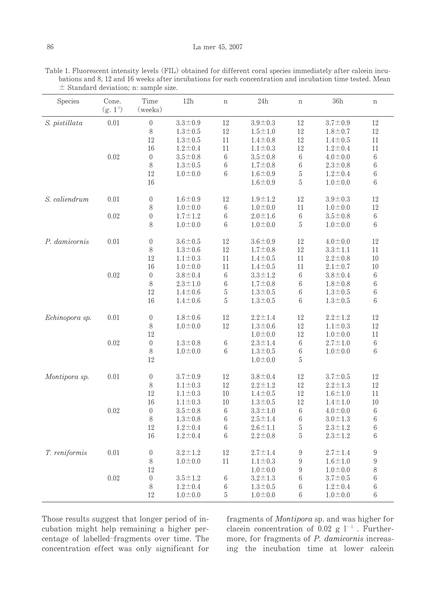Table 1. Fluorescent intensity levels (FIL) obtained for different coral species immediately after calcein incubations and 8, 12 and 16 weeks after incubations for each concentration and incubation time tested. Mean  $\pm$  Standard deviation; n: sample size.

| Species        | Cone.<br>$(g. 1-1)$ | Time<br>(weeks)  | 12h             | $\mathbf n$ | 24h             |                 | 36h           | $\, {\rm n}$     |
|----------------|---------------------|------------------|-----------------|-------------|-----------------|-----------------|---------------|------------------|
| S. pistillata  | 0.01                | $\boldsymbol{0}$ | $3.3 \pm 0.9$   | 12          | $3.9 \pm 0.3$   | 12              | $3.7 \pm 0.9$ | 12               |
|                |                     | 8                | $1.3 \pm 0.5$   | 12          | $1.5 \pm 1.0$   | 12              | $1.8 \pm 0.7$ | 12               |
|                |                     | 12               | $1.3 \pm 0.5$   | 11          | $1.4 \pm 0.8$   | 12              | $1.4 \pm 0.5$ | 11               |
|                |                     | 16               | $1.2 \pm 0.4$   | 11          | $1.1 \pm 0.3$   | 12              | $1.2 \pm 0.4$ | 11               |
|                | 0.02                | $\theta$         | $3.5 \pm 0.8$   | 6           | $3.5 \pm 0.8$   | $\,6$           | $4.0 \pm 0.0$ | 6                |
|                |                     | 8                | $1.3 \pm 0.5$   | 6           | $1.7 \pm 0.8$   | 6               | $2.3 \pm 0.8$ | 6                |
|                |                     | 12               | $1.0 \pm 0.0$   | 6           | $1.6 \pm 0.9$   | 5               | $1.2 \pm 0.4$ | 6                |
|                |                     | 16               |                 |             | $1.6 \pm 0.9$   | 5               | $1.0 \pm 0.0$ | 6                |
| S. caliendrum  | 0.01                | $\theta$         | $1.6 \pm 0.9$   | 12          | $1.9 \pm 1.2$   | 12              | $3.9 \pm 0.3$ | 12               |
|                |                     | 8                | $1.0 \pm 0.0$   | 6           | $1.0 \pm 0.0$   | 11              | $1.0 - 0.0$   | 12               |
|                | 0.02                | $\boldsymbol{0}$ | $1.7 \pm 1.2$   | 6           | $2.0 \pm 1.6$   | $\,6$           | $3.5 \pm 0.8$ | 6                |
|                |                     | 8                | $1.0 - 0.0$     | 6           | $1.0\!\pm\!0.0$ | 5               | $1.0 - 0.0$   | 6                |
| P. damicornis  | 0.01                | $\theta$         | $3.6 \pm 0.5$   | 12          | $3.6 \pm 0.9$   | 12              | $4.0 \pm 0.0$ | 12               |
|                |                     | 8                | $1.3 \pm 0.6$   | 12          | $1.7 + 0.8$     | 12              | $3.3 \pm 1.1$ | 11               |
|                |                     | 12               | $1.1 \pm 0.3$   | 11          | $1.4 \pm 0.5$   | 11              | $2.2 \pm 0.8$ | 10               |
|                |                     | 16               | $1.0 \pm 0.0$   | 11          | $1.4 \pm 0.5$   | 11              | $2.1 \pm 0.7$ | 10               |
|                | 0.02                | $\overline{0}$   | $3.8 \pm 0.4$   | 6           | $3.3 \pm 1.2$   | 6               | $3.8 \pm 0.4$ | 6                |
|                |                     | 8                | $2.3 \pm 1.0$   | 6           | $1.7 \pm 0.8$   | $\,6$           | $1.8 + 0.8$   | 6                |
|                |                     | 12               | $1.4 \pm 0.6$   | 5           | $1.3 \pm 0.5$   | 6               | $1.3 \pm 0.5$ | 6                |
|                |                     | 16               | $1.4 \pm 0.6$   | 5           | $1.3 \pm 0.5$   | 6               | $1.3 - 0.5$   | 6                |
| Echinopora sp. | 0.01                | $\theta$         | $1.8 \pm 0.6$   | 12          | $2.2 \pm 1.4$   | 12              | $2.2 \pm 1.2$ | 12               |
|                |                     | 8                | $1.0 \pm 0.0$   | 12          | $1.3 \pm 0.6$   | 12              | $1.1 \pm 0.3$ | 12               |
|                |                     | 12               |                 |             | $1.0 \pm 0.0$   | 12              | $1.0 \pm 0.0$ | 11               |
|                | 0.02                | $\theta$         | $1.3 \pm 0.8$   | $\!6\,$     | $2.3 \pm 1.4$   | $\,6$           | $2.7 \pm 1.0$ | 6                |
|                |                     | 8                | $1.0\!\pm\!0.0$ | 6           | $1.3 \pm 0.5$   | $\,6$           | $1.0 - 0.0$   | 6                |
|                |                     | 12               |                 |             | $1.0 - 0.0$     | 5               |               |                  |
| Montipora sp.  | 0.01                | $\boldsymbol{0}$ | $3.7 \pm 0.9$   | 12          | $3.8 + 0.4$     | 12              | $3.7 \pm 0.5$ | 12               |
|                |                     | 8                | $1.1 \pm 0.3$   | 12          | $2.2 \pm 1.2$   | 12              | $2.2 \pm 1.3$ | 12               |
|                |                     | 12               | $1.1 \pm 0.3$   | 10          | $1.4 \pm 0.5$   | 12              | $1.6 \pm 1.0$ | 11               |
|                |                     | 16               | $1.1 \pm 0.3$   | 10          | $1.3 \pm 0.5$   | 12              | $1.4 \pm 1.0$ | 10               |
|                | 0.02                | $\theta$         | $3.5 \pm 0.8$   | 6           | $3.3 \pm 1.0$   | $\,6$           | $4.0 \pm 0.0$ | 6                |
|                |                     | 8                | $1.3 \pm 0.8$   | 6           | $2.5 \pm 1.4$   | 6               | $3.0 \pm 1.3$ | 6                |
|                |                     | 12               | $1.2 \pm 0.4$   | 6           | $2.6 \pm 1.1$   | 5               | $2.3 \pm 1.2$ | 6                |
|                |                     | 16               | $1.2 \pm 0.4$   | 6           | $2.2 \pm 0.8$   | 5               | $2.3 \pm 1.2$ | 6                |
| T. reniformis  | 0.01                | $\boldsymbol{0}$ | $3.2 \pm 1.2$   | 12          | $2.7 \pm 1.4$   | 9               | $2.7 \pm 1.4$ | 9                |
|                |                     | 8                | $1.0 \pm 0.0$   | 11          | $1.1 \pm 0.3$   | 9               | $1.6 \pm 1.0$ | $\boldsymbol{9}$ |
|                |                     | 12               |                 |             | $1.0 \pm 0.0$   | 9               | $1.0 \pm 0.0$ | 8                |
|                | 0.02                | $\boldsymbol{0}$ | $3.5 \pm 1.2$   | 6           | $3.2 \pm 1.3$   | $\,6$           | $3.7 \pm 0.5$ | 6                |
|                |                     | 8                | $1.2 \pm 0.4$   | 6           | $1.3 \pm 0.5$   | $6\phantom{.}6$ | $1.2 \pm 0.4$ | 6                |
|                |                     | 12               | $1.0 \pm 0.0$   | 5           | $1.0 \pm 0.0$   | 6               | $1.0 \pm 0.0$ | 6                |

Those results suggest that longer period of incubation might help remaining a higher percentage of labelled-fragments over time. The concentration effect was only significant for fragments of Montipora sp. and was higher for clacein concentration of 0.02 g  $l^{-1}$ . Furthermore, for fragments of P. damicornis increasing the incubation time at lower calcein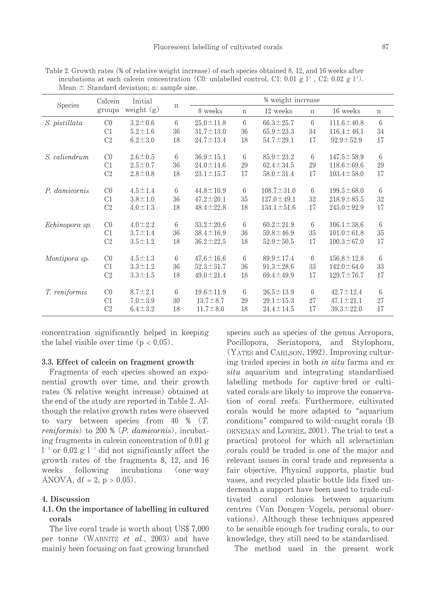| Species        | Calcein<br>groups | Initial<br>weight $(g)$ |              | % weight increase |             |                  |             |                  |                 |
|----------------|-------------------|-------------------------|--------------|-------------------|-------------|------------------|-------------|------------------|-----------------|
|                |                   |                         | $\, {\rm n}$ | 8 weeks           | $\mathbf n$ | 12 weeks         | $\mathbf n$ | 16 weeks         | $\mathbf n$     |
| S. pistillata  | C <sub>0</sub>    | $3.2 \pm 0.6$           | 6            | $25.0 \pm 11.8$   | 6           | $66.3 \pm 25.7$  | 6           | $111.6 \pm 40.8$ | 6               |
|                | C1                | $5.2 \pm 1.6$           | 36           | $31.7 \pm 13.0$   | 36          | $65.9 \pm 23.3$  | 34          | $116.4 \pm 46.1$ | 34              |
|                | C <sub>2</sub>    | $6.2 \pm 3.0$           | 18           | $24.7 \pm 13.4$   | 18          | $54.7 \pm 29.1$  | 17          | $92.9 \pm 52.9$  | 17              |
| S. caliendrum  | C <sub>0</sub>    | $2.6 \pm 0.5$           | 6            | $36.9 \pm 15.1$   | 6           | $85.9 \pm 23.2$  | 6           | $147.5 \pm 58.9$ | 6               |
|                | C1                | $2.5 \pm 0.7$           | 36           | $24.0 \pm 14.6$   | 29          | $62.4 \pm 34.5$  | 29          | $118.6 \pm 69.6$ | 29              |
|                | C <sub>2</sub>    | $2.8 \pm 0.8$           | 18           | $23.1 \pm 15.7$   | 17          | $58.0 \pm 31.4$  | 17          | $103.4 \pm 58.0$ | 17              |
| P. damicornis  | $_{\rm CO}$       | $4.5 \pm 1.4$           | 6            | $44.8 \pm 10.9$   | 6           | $108.7 \pm 31.0$ | 6           | $199.5 \pm 68.0$ | $6\overline{6}$ |
|                | C1                | $3.8 \pm 1.0$           | 36           | $47.2 \pm 20.1$   | 35          | $127.0 \pm 49.1$ | 32          | $218.9 \pm 85.5$ | 32              |
|                | C <sub>2</sub>    | $4.0 \pm 1.3$           | 18           | $48.4 \pm 22.8$   | 18          | $134.1 \pm 51.6$ | 17          | $245.0 \pm 92.9$ | 17              |
| Echinopora sp. | $_{\rm CO}$       | $4.0 \pm 2.2$           | 6            | $33.2 \pm 20.6$   | 6           | $60.2 \pm 21.9$  | 6           | $106.1 \pm 38.6$ | 6               |
|                | C1                | $3.7 \pm 1.4$           | 36           | $38.4 \pm 16.9$   | 36          | $59.8 \pm 46.9$  | 35          | $101.0 \pm 61.8$ | 35              |
|                | C <sub>2</sub>    | $3.5 \pm 1.2$           | 18           | $36.2 \pm 22.5$   | 18          | $52.9 \pm 50.5$  | 17          | $100.3 \pm 67.0$ | 17              |
| Montipora sp.  | C <sub>0</sub>    | $4.5 \pm 1.3$           | 6            | $47.6 \pm 16.6$   | 6           | $89.9 \pm 17.4$  | 6           | $156.8 \pm 12.8$ | 6               |
|                | C1                | $3.3 \pm 1.2$           | 36           | $52.3 \pm 31.7$   | 36          | $91.3 \pm 28.6$  | 33          | $142.0 \pm 64.0$ | 33              |
|                | C <sub>2</sub>    | $3.3 \pm 1.5$           | 18           | $49.0 \pm 21.4$   | 18          | $69.4 \pm 49.9$  | 17          | $129.7 \pm 76.7$ | 17              |
| T. reniformis  | C <sub>0</sub>    | $8.7 \pm 2.1$           | 6            | $19.6 \pm 11.9$   | 6           | $26.5 \pm 13.9$  | 6           | $42.7 \pm 12.4$  | 6               |
|                | C1                | $7.0 \pm 3.9$           | 30           | $13.7 \pm 8.7$    | 29          | $29.1 \pm 15.3$  | 27          | $47.1 \pm 21.1$  | 27              |
|                | C <sub>2</sub>    | $6.4 \pm 3.2$           | 18           | $11.7 \pm 8.0$    | 18          | $24.4 \pm 14.5$  | 17          | $39.3 \pm 22.0$  | 17              |

Table 2. Growth rates (% of relative weight increase) of each species obtained 8, 12, and 16 weeks after incubations at each calce n concentration (C0: unlabelled control, C1: 0.01 g  $1^1$ , C2: 0.02 g  $1^1$ ). Mean  $\pm$  Standard deviation; n: sample size.

concentration significantly helped in keeping the label visible over time  $(p < 0.05)$ .

#### 3.3. Effect of calcein on fragment growth

Fragments of each species showed an exponential growth over time, and their growth rates (% relative weight increase) obtained at the end of the study are reported in Table 2. Although the relative growth rates were observed to vary between species from 40  $%$   $(T.$ reniformis) to 200 % (P. damicornis), incubating fragments in calcein concentration of 0.01 g  $1^{-1}$  or 0.02 g  $1^{-1}$  did not significantly affect the growth rates of the fragments 8, 12, and 16 weeks following incubations  $(one-way)$ ANOVA,  $df = 2$ ,  $p > 0.05$ ).

## 4. Discussion

# 4.1. On the importance of labelling in cultured corals

The live coral trade is worth about US\$ 7,000 per tonne (WABNITZ et al., 2003) and have mainly been focusing on fast growing branched

species such as species of the genus Acropora, Pocillopora, Seriatopora, and Stylophora, (YATES and CARLSON, 1992). Improving culturing traded species in both in situ farms and ex situ aquarium and integrating standardised labelling methods for captive-bred or cultivated corals are likely to improve the conservation of coral reefs. Furthermore, cultivated corals would be more adapted to "aquarium conditions" compared to wild-caught corals (B) ORNEMAN and LOWRIE, 2001). The trial to test a practical protocol for which all scleractinian corals could be traded is one of the major and relevant issues in coral trade and represents a fair objective. Physical supports, plastic bud vases, and recycled plastic bottle lids fixed underneath a support have been used to trade cultivated coral colonies between aquarium centres (Van Dongen-Vogels, personal observations). Although these techniques appeared to be sensible enough for trading corals, to our knowledge, they still need to be standardised.

The method used in the present work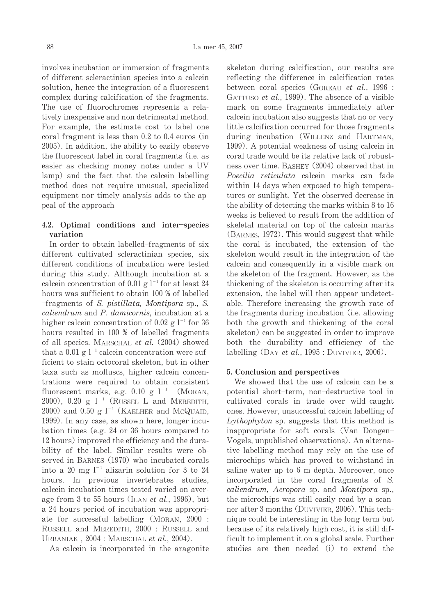involves incubation or immersion of fragments of different scleractinian species into a calcein solution, hence the integration of a fluorescent complex during calcification of the fragments. The use of fluorochromes represents a relatively inexpensive and non detrimental method. For example, the estimate cost to label one coral fragment is less than  $0.2$  to  $0.4$  euros (in 2005). In addition, the ability to easily observe the fluorescent label in coral fragments (*i.e.* as easier as checking money notes under a UV lamp) and the fact that the calcein labelling method does not require unusual, specialized equipment nor timely analysis adds to the appeal of the approach

# 4.2. Optimal conditions and inter-species variation

In order to obtain labelled-fragments of six different cultivated scleractinian species, six different conditions of incubation were tested during this study. Although incubation at a calcein concentration of 0.01 g  $l^{-1}$  for at least 24 hours was sufficient to obtain 100 % of labelled -fragments of S. pistillata, Montipora sp., S. caliendrum and P. damicornis, incubation at a higher calcein concentration of 0.02 g  $1^{-1}$  for 36 hours resulted in 100 % of labelled-fragments of all species. MARSCHAL et al. (2004) showed that a 0.01 g  $l^{-1}$  calcein concentration were sufficient to stain octocoral skeleton, but in other taxa such as molluscs, higher calcein concentrations were required to obtain consistent fluorescent marks, e.g. 0.10 g  $l^{-1}$  (MORAN, 2000), 0.20 g  $l^{-1}$  (RUSSEL L and MEREDITH, 2000) and 0.50 g  $l^{-1}$  (KAELHER and McQUAID, 1999). In any case, as shown here, longer incubation times (e.g. 24 or 36 hours compared to 12 hours) improved the efficiency and the durability of the label. Similar results were observed in BARNES (1970) who incubated corals into a 20 mg  $l^{-1}$  alizarin solution for 3 to 24 hours. In previous invertebrates studies, calcein incubation times tested varied on average from 3 to 55 hours (ILAN *et al.*, 1996), but a 24 hours period of incubation was appropriate for successful labelling (MORAN, 2000 : RUSSELL and MEREDITH, 2000 : RUSSELL and URBANIAK, 2004: MARSCHAL et al., 2004).

As calcein is incorporated in the aragonite

skeleton during calcification, our results are reflecting the difference in calcification rates between coral species (GOREAU et al., 1996 : GATTUSO et al., 1999). The absence of a visible mark on some fragments immediately after calcein incubation also suggests that no or very little calcification occurred for those fragments during incubation (WILLENZ and HARTMAN, 1999). A potential weakness of using calcein in coral trade would be its relative lack of robustness over time. BASHEY (2004) observed that in Poecilia reticulata calcein marks can fade within 14 days when exposed to high temperatures or sunlight. Yet the observed decrease in the ability of detecting the marks within 8 to 16 weeks is believed to result from the addition of skeletal material on top of the calcein marks (BARNES, 1972). This would suggest that while the coral is incubated, the extension of the skeleton would result in the integration of the calcein and consequently in a visible mark on the skeleton of the fragment. However, as the thickening of the skeleton is occurring after its extension, the label will then appear undetectable. Therefore increasing the growth rate of the fragments during incubation (i.e. allowing) both the growth and thickening of the coral skeleton) can be suggested in order to improve both the durability and efficiency of the labelling (DAY et al., 1995 : DUVIVIER, 2006).

### 5. Conclusion and perspectives

We showed that the use of calcein can be a potential short-term, non-destructive tool in cultivated corals in trade over wild-caught ones. However, unsuccessful calcein labelling of Lythophyton sp. suggests that this method is inappropriate for soft corals (Van Dongen-Vogels, unpublished observations). An alternative labelling method may rely on the use of microchips which has proved to withstand in saline water up to 6 m depth. Moreover, once incorporated in the coral fragments of S. caliendrum, Acropora sp. and Montipora sp., the microchips was still easily read by a scanner after 3 months (DUVIVIER, 2006). This technique could be interesting in the long term but because of its relatively high cost, it is still difficult to implement it on a global scale. Further studies are then needed (i) to extend the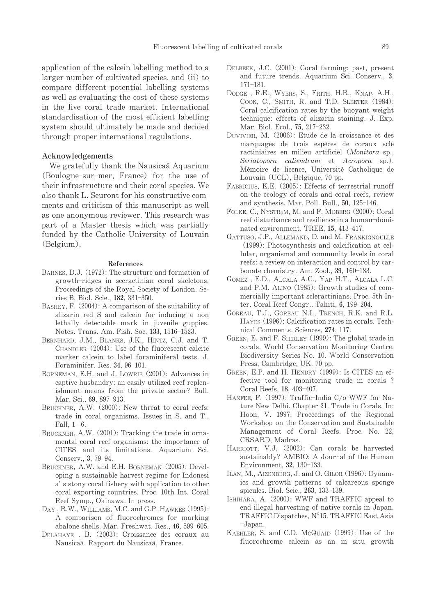application of the calcein labelling method to a larger number of cultivated species, and (ii) to compare different potential labelling systems as well as evaluating the cost of these systems in the live coral trade market. International standardisation of the most efficient labelling system should ultimately be made and decided through proper international regulations.

## Acknowledgements

We gratefully thank the Nausicaä Aquarium (Boulogne-sur-mer, France) for the use of their infrastructure and their coral species. We also thank L. Seuront for his constructive comments and criticism of this manuscript as well as one anonymous reviewer. This research was part of a Master thesis which was partially funded by the Catholic University of Louvain (Belgium).

#### **References**

- BARNES, D.J. (1972): The structure and formation of growth-ridges in sceractinian coral skeletons. Proceedings of the Royal Society of London. Series B. Biol. Scie., 182, 331-350.
- BASHEY, F. (2004): A comparison of the suitability of alizarin red S and calcein for inducing a non lethally detectable mark in juvenile guppies. Notes. Trans. Am. Fish. Soc. 133, 1516-1523.
- BERNHARD, J.M., BLANKS, J.K., HINTZ, C.J. and T. CHANDLER (2004): Use of the fluorescent calcite marker calcein to label foraminiferal tests. J. Foraminifer. Res. 34, 96-101.
- BORNEMAN, E.H. and J. LOWRIE (2001): Advances in captive husbandry: an easily utilized reef replenishment means from the private sector? Bull. Mar. Sci., 69, 897-913.
- BRUCKNER, A.W. (2000): New threat to coral reefs: trade in coral organisms. Issues in S. and T., Fall,  $1 - 6$ .
- BRUCKNER, A.W. (2001): Tracking the trade in ornamental coral reef organisms: the importance of CITES and its limitations. Aquarium Sci. Conserv., 3, 79-94.
- BRUCKNER, A.W. and E.H. BORNEMAN (2005): Developing a sustainable harvest regime for Indonesi a's stony coral fishery with application to other coral exporting countries. Proc. 10th Int. Coral Reef Symp., Okinawa. In press.
- DAY, R.W., WILLIAMS, M.C. and G.P. HAWKES (1995): A comparison of fluorochromes for marking abalone shells. Mar. Freshwat. Res., 46, 599-605.
- DELAHAYE, B. (2003): Croissance des coraux au Nausicaä. Rapport du Nausicaä, France.
- DELBEEK, J.C. (2001): Coral farming: past, present and future trends. Aquarium Sci. Conserv., 3,  $171 - 181.$
- DODGE, R.E., WYERS, S., FRITH, H.R., KNAP, A.H., COOK, C., SMITH, R. and T.D. SLEETER (1984): Coral calcification rates by the buoyant weight technique: effects of alizarin staining. J. Exp. Mar. Biol. Ecol., 75, 217-232.
- DUVIVIER, M. (2006): Etude de la croissance et des marquages de trois espèces de coraux sclé ractiniaires en milieu artificiel (Monitora sp., Seriatopora caliendrum et Acropora sp.). Mémoire de licence, Université Catholique de Louvain (UCL), Belgique, 70 pp.
- FABRICIUS, K.E. (2005): Effects of terrestrial runoff on the ecology of corals and coral reefs, review and synthesis. Mar. Poll. Bull., 50, 125-146.
- FOLKE, C., NYSTR<sub>ö</sub>M, M. and F. MOBERG (2000): Coral reef disturbance and resilience in a human-dominated environment. TREE, 15, 413-417.
- GATTUSO, J.P., ALLEMAND, D. and M. FRANKIGNOULLE (1999): Photosynthesis and calcification at cellular, organismal and community levels in coral reefs: a review on interaction and control by carbonate chemistry. Am. Zool., 39, 160-183.
- GOMEZ, E.D., ALCALA A.C., YAP H.T., ALCALA L.C. and P.M. ALINO (1985): Growth studies of commercially important scleractinians. Proc. 5th Inter. Coral Reef Congr., Tahiti, 6, 199-204.
- GOREAU, T.J., GOREAU N.I., TRENCH, R.K. and R.L. HAYES (1996): Calcification rates in corals. Technical Comments. Sciences, 274, 117.
- GREEN, E. and F. SHIRLEY (1999): The global trade in corals. World Conservation Monitoring Centre. Biodiversity Series No. 10. World Conservation Press, Cambridge, UK. 70 pp.
- GREEN, E.P. and H. HENDRY (1999): Is CITES an effective tool for monitoring trade in corals ? Coral Reefs, 18, 403-407.
- HANFEE, F. (1997): Traffic-India C/o WWF for Nature New Delhi. Chapter 21. Trade in Corals. In: Hoon, V. 1997. Proceedings of the Regional Workshop on the Conservation and Sustainable Management of Coral Reefs. Proc. No. 22, CRSARD, Madras.
- HARRIOTT, V.J. (2002): Can corals be harvested sustainably? AMBIO: A Journal of the Human Environment, 32, 130-133.
- ILAN, M., AIZENBERG, J. and O. GILOR (1996): Dynamics and growth patterns of calcareous sponge spicules. Biol. Scie., 263, 133-139.
- ISHIHARA, A. (2000): WWF and TRAFFIC appeal to end illegal harvesting of native corals in Japan. TRAFFIC Dispatches, N°15. TRAFFIC East Asia  $-Japan.$
- KAEHLER, S. and C.D. McQUAID (1999): Use of the fluorochrome calcein as an in situ growth